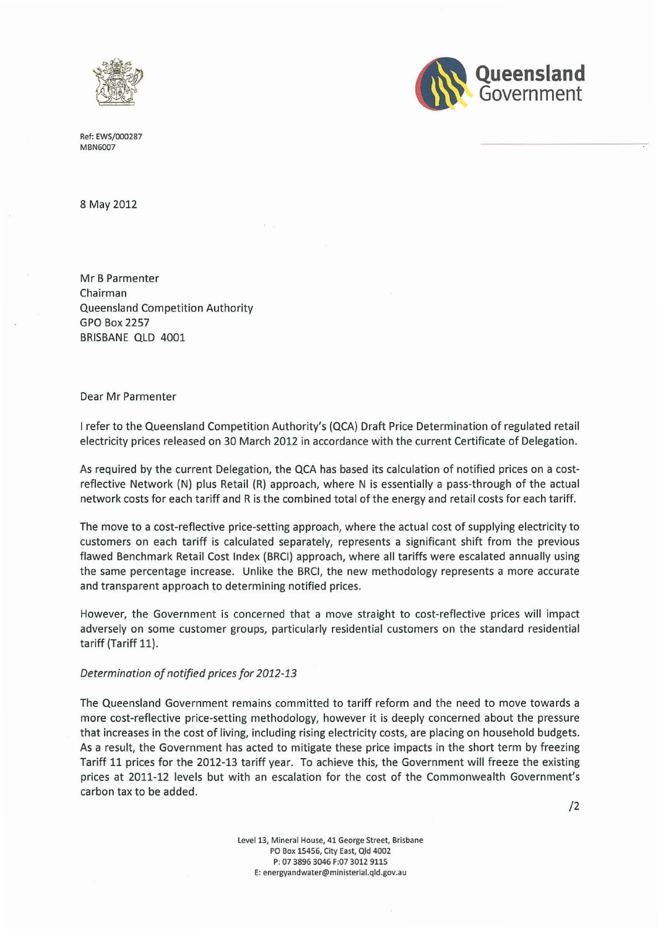



Ref: EWS/000287 MBN6007

8 May 2012

Mr B Parmenter Chairman Queensland Competition Authority GPO Box 2257 BRISBANE QLD 4001

Dear Mr Parmenter

I refer to the Queensland Competition Authority's {QCA) Draft Price Determination of regulated retail electricity prices released on 30 March 2012 in accordance with the current Certificate of Delegation.

As required by the current Delegation, the QCA has based its calculation of notified prices on a costreflective Network {N) plus Retail (R) approach, where N is essentially a pass-through of the actual network costs for each tariff and R is the combined total of the energy and retail costs for each tariff.

The move to a cost-reflective price-setting approach, where the actual cost of supplying electricity to customers on each tariff is calculated separately, represents a significant shift from the previous flawed Benchmark Retail Cost Index (BRCI) approach, where all tariffs were escalated annually using the same percentage increase. Unlike the BRCI, the new methodology represents a more accurate and transparent approach to determining notified prices.

However, the Government is concerned that a move straight to cost-reflective prices will impact adversely on some customer groups, particularly residential customers on the standard residential tariff (Tariff 11).

#### *Determination of notified prices for 2012-13*

The Queensland Government remains committed to tariff reform and the need to move towards a more cost-reflective price-setting methodology, however it is deeply concerned about the pressure that increases in the cost of living, including rising electricity *costs,* are placing on household budgets. As a result, the Government has acted to mitigate these price impacts in the short term by freezing Tariff 11 prices for the 2012-13 tariff year. To achieve this, the Government will freeze the existing prices at 2011-12 levels but with an escalation for the cost of the Commonwealth Government's carbon tax to be added.

/2

Level 13, Mineral House, 41 George Street, Brisbane PO Box 15456, City East, Qld 4002 P: 07 3896 3046 F:07 3012 9115 E: energyandwater@ministerial.qld.gov.au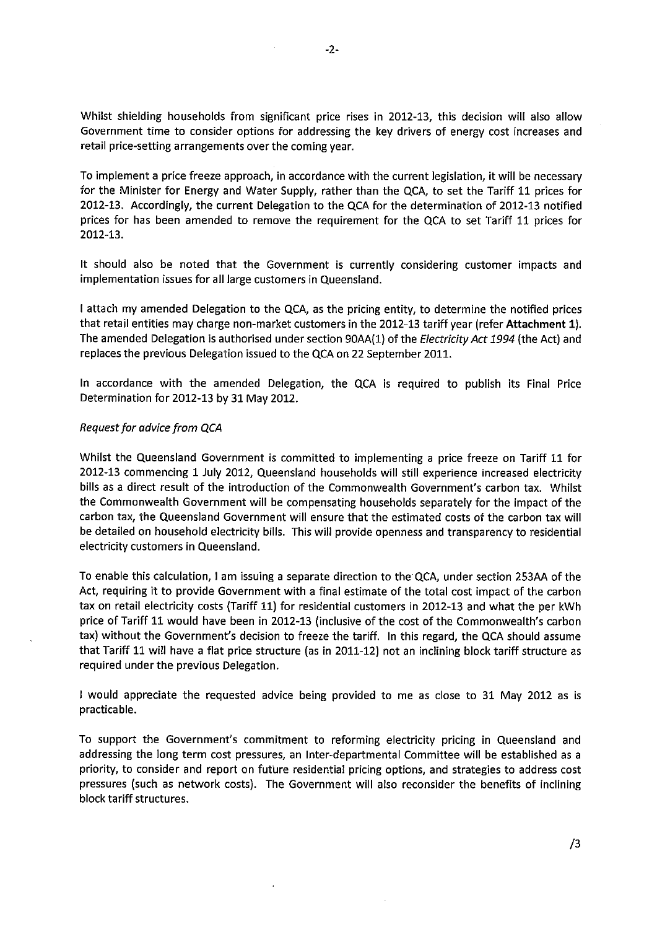Whilst shielding households from significant price rises in 2012-13, this decision will also allow Government time to consider options for addressing the key drivers of energy cost increases and retail price-setting arrangements over the coming year.

To implement a price freeze approach, in accordance with the current legislation, it will be necessary for the Minister for Energy and Water Supply, rather than the QCA, to set the Tariff 11 prices for 2012-13. Accordingly, the current Delegation to the QCA for the determination of 2012-13 notified prices for has been amended to remove the requirement for the QCA to set Tariff 11 prices for 2012-13.

It should also be noted that the Government is currently considering customer impacts and implementation issues for all large customers in Queensland.

I attach my amended Delegation to the QCA, as the pricing entity, to determine the notified prices that retail entities may charge non-market customers in the 2012-13 tariff year (refer **Attachment 1).**  The amended Delegation is authorised under section 90AA(1) of the *Electricity Act 1994* (the Act) and replaces the previous Delegation issued to the QCA on 22 September 2011.

In accordance with the amended Delegation, the QCA is required to publish its Final Price Determination for 2012-13 by 31 May 2012.

#### *Request for advice from QCA*

Whilst the Queensland Government is committed to implementing a price freeze on Tariff 11 for 2012-13 commencing 1 July 2012, Queensland households will still experience increased electricity bills as a direct result of the introduction of the Commonwealth Government's carbon tax. Whilst the Commonwealth Government will be compensating households separately for the impact of the carbon tax, the Queensland Government will ensure that the estimated costs of the carbon tax will be detailed on household electricity bills. This will provide openness and transparency to residential electricity customers in Queensland.

To enable this calculation, I am issuing a separate direction to the QCA, under section 253AA of the Act, requiring it to provide Government with a final estimate of the total cost impact of the carbon tax on retail electricity costs (Tariff 11) for residential customers in 2012-13 and what the per kWh price of Tariff 11 would have been in 2012-13 (inclusive of the cost of the Commonwealth's carbon tax) without the Government's decision to freeze the tariff. In this regard, the QCA should assume that Tariff 11 will have a flat price structure (as in 2011-12) not an inclining block tariff structure as required under the previous Delegation.

I would appreciate the requested advice being provided to me as close to 31 May 2012 as is practicable.

To support the Government's commitment to reforming electricity pricing in Queensland and addressing the long term cost pressures, an Inter-departmental Committee will be established as a priority, to consider and report on future residential pricing options, and strategies to address cost pressures (such as network costs). The Government will also reconsider the benefits of inclining block tariff structures.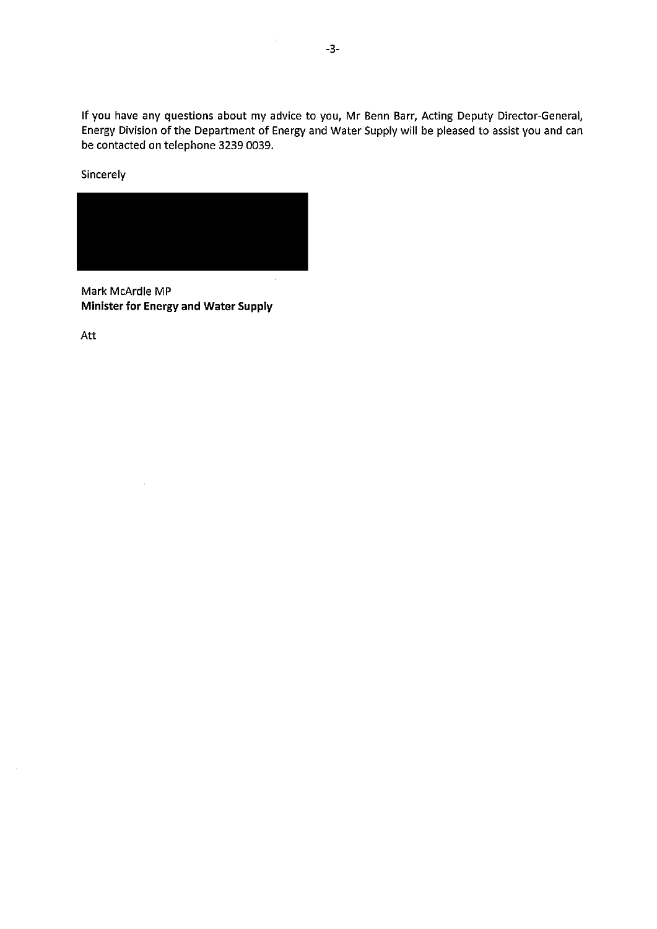If you have any questions about my advice to you, Mr Benn Barr, Acting Deputy Director-General, Energy Division of the Department of Energy and Water Supply will be pleased to assist you and can be contacted on telephone 3239 0039.

**Sincerely** 



Mark McArdle MP **Minister for Energy and Water Supply** 

Att

 $\mathcal{L}$ 

 $\overline{\phantom{a}}$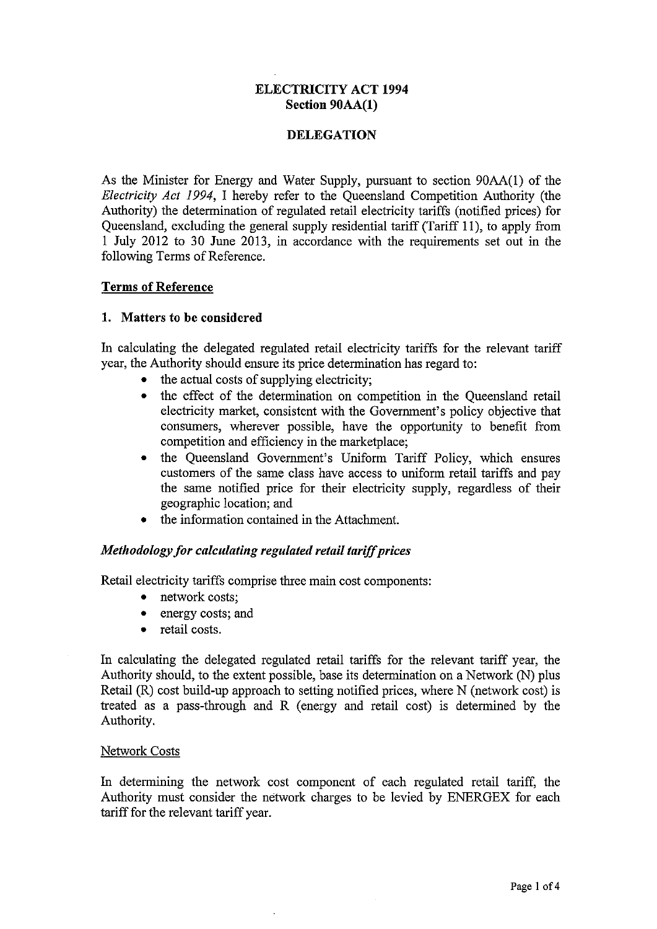## **ELECTRICITY ACT 1994 Section 90AA(l)**

## **DELEGATION**

As the Minister for Energy and Water Supply, pursuant to section 90AA(l) of the *Electricity Act 1994,* I hereby refer to the Queensland Competition Authority (the Authority) the determination of regulated retail electricity tariffs (notified prices) for Queensland, excluding the general supply residential tariff (Tariff 11 ), to apply from 1 July 2012 to 30 June 2013, in accordance with the requirements set out in the following Terms of Reference.

#### **Terms of Reference**

## **1. Matters to be considered**

In calculating the delegated regulated retail electricity tariffs for the relevant tariff year, the Authority should ensure its price determination has regard to:

- the actual costs of supplying electricity;
- the effect of the determination on competition in the Queensland retail electricity market, consistent with the Government's policy objective that consumers, wherever possible, have the opportunity to benefit from competition and efficiency in the marketplace;
- the Queensland Government's Uniform Tariff Policy, which ensures customers of the same class have access to uniform retail tariffs and pay the same notified price for their electricity supply, regardless of their geographic location; and
- the information contained in the Attachment.

## *Methodology for calculating regulated retail tariff prices*

Retail electricity tariffs comprise three main cost components:

- network costs;
- energy costs; and
- retail costs.

In calculating the delegated regulated retail tariffs for the relevant tariff year, the Authority should, to the extent possible, base its determination on a Network (N) plus Retail (R) cost build-up approach to setting notified prices, where N (network cost) is treated as a pass-through and **R** (energy and retail cost) is determined by the Authority.

#### Network Costs

In determining the network cost component of each regulated retail tariff, the Authority must consider the network charges to be levied by ENERGEX for each tariff for the relevant tariff year.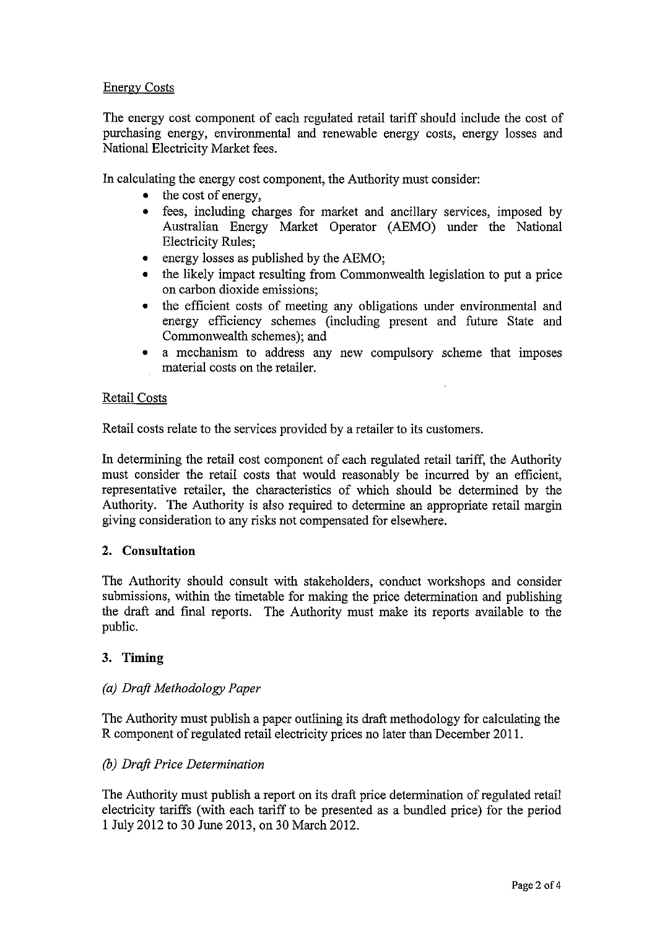# Energy Costs

The energy cost component of each regulated retail tariff should include the cost of purchasing energy, environmental and renewable energy costs, energy losses and National Electricity Market fees.

In calculating the energy cost component, the Authority must consider:

- the cost of energy,
- fees, including charges for market and ancillary services, imposed by Australian Energy Market Operator (AEMO) under the National Electricity Rules;
- energy losses as published by the AEMO;
- the likely impact resulting from Commonwealth legislation to put a price on carbon dioxide emissions;
- the efficient costs of meeting any obligations under environmental and energy efficiency schemes (including present and future State and Commonwealth schemes); and
- a mechanism to address any new compulsory scheme that imposes material costs on the retailer.

# Retail Costs

Retail costs relate to the services provided by a retailer to its customers.

In determining the retail cost component of each regulated retail tariff, the Authority must consider the retail costs that would reasonably be incurred by an efficient, representative retailer, the characteristics of which should be determined by the Authority. The Authority is also required to determine an appropriate retail margin giving consideration to any risks not compensated for elsewhere.

# **2. Consultation**

The Authority should consult with stakeholders, conduct workshops and consider submissions, within the timetable for making the price determination and publishing the draft and final reports. The Authority must make its reports available to the public.

# 3. **Timing**

## *(a) Draft Methodology Paper*

The Authority must publish a paper outlining its draft methodology for calculating the R component of regulated retail electricity prices no later than December 2011.

## *(b) Draft Price Determination*

The Authority must publish a report on its draft price determination of regulated retail electricity tariffs (with each tariff to be presented as a bundled price) for the period 1 July 2012 to 30 June 2013, on 30 March 2012.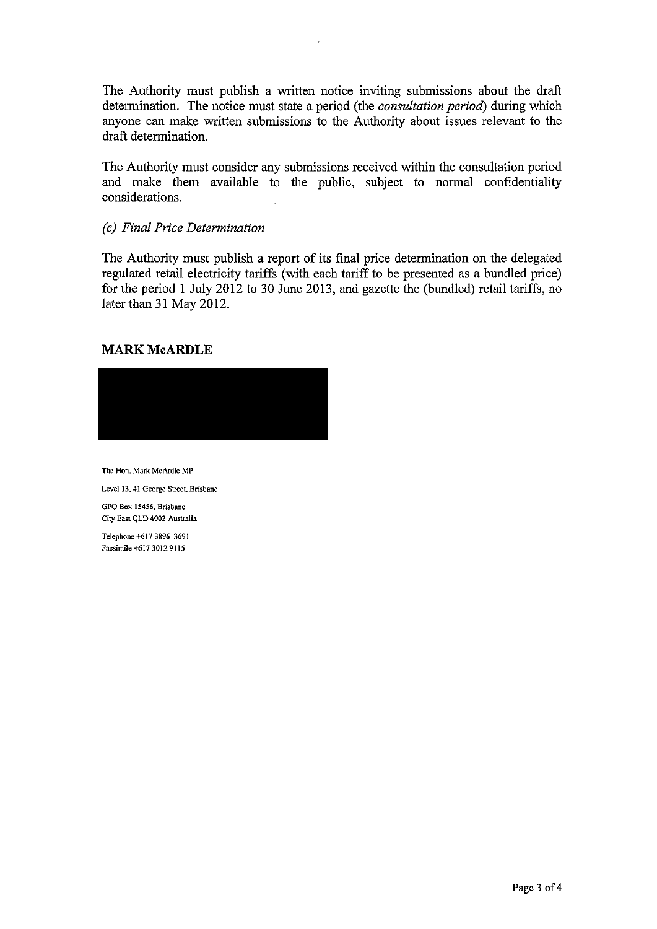The Authority must publish a written notice inviting submissions about the draft determination. The notice must state a period (the *consultation period)* during which anyone can make written submissions to the Authority about issues relevant to the draft determination.

The Authority must consider any submissions received within the consultation period and make them available to the public, subject to normal confidentiality considerations.

#### *(c) Final Price Determination*

The Authority must publish a report of its final price determination on the delegated regulated retail electricity tariffs (with each tariff to be presented as a bundled price) for the period 1 July 2012 to 30 June 2013, and gazette the (bundled) retail tariffs, no later than 31 May 2012.

# **MARK McARDLE**



**The Hon. Mark McArdle MP** 

**Level 13, 41 George Street, Brisbane** 

**GPO Box 15456, Brisbane City East QLD 4002 Australia** 

**Telephone +617 3896.3691 Facsimile +617 3012 9115**